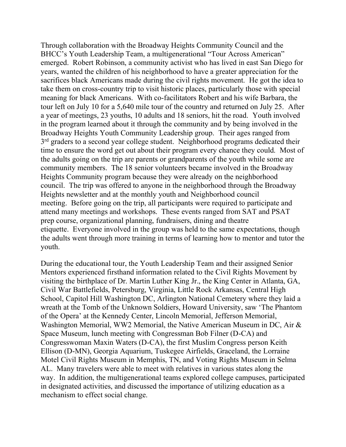Through collaboration with the Broadway Heights Community Council and the BHCC's Youth Leadership Team, a multigenerational "Tour Across American" emerged. Robert Robinson, a community activist who has lived in east San Diego for years, wanted the children of his neighborhood to have a greater appreciation for the sacrifices black Americans made during the civil rights movement. He got the idea to take them on cross-country trip to visit historic places, particularly those with special meaning for black Americans. With co-facilitators Robert and his wife Barbara, the tour left on July 10 for a 5,640 mile tour of the country and returned on July 25. After a year of meetings, 23 youths, 10 adults and 18 seniors, hit the road. Youth involved in the program learned about it through the community and by being involved in the Broadway Heights Youth Community Leadership group. Their ages ranged from 3<sup>rd</sup> graders to a second year college student. Neighborhood programs dedicated their time to ensure the word get out about their program every chance they could. Most of the adults going on the trip are parents or grandparents of the youth while some are community members. The 18 senior volunteers became involved in the Broadway Heights Community program because they were already on the neighborhood council. The trip was offered to anyone in the neighborhood through the Broadway Heights newsletter and at the monthly youth and Neighborhood council meeting. Before going on the trip, all participants were required to participate and attend many meetings and workshops. These events ranged from SAT and PSAT prep course, organizational planning, fundraisers, dining and theatre etiquette. Everyone involved in the group was held to the same expectations, though the adults went through more training in terms of learning how to mentor and tutor the youth.

During the educational tour, the Youth Leadership Team and their assigned Senior Mentors experienced firsthand information related to the Civil Rights Movement by visiting the birthplace of Dr. Martin Luther King Jr., the King Center in Atlanta, GA, Civil War Battlefields, Petersburg, Virginia, Little Rock Arkansas, Central High School, Capitol Hill Washington DC, Arlington National Cemetery where they laid a wreath at the Tomb of the Unknown Soldiers, Howard University, saw 'The Phantom of the Opera' at the Kennedy Center, Lincoln Memorial, Jefferson Memorial, Washington Memorial, WW2 Memorial, the Native American Museum in DC, Air & Space Museum, lunch meeting with Congressman Bob Filner (D-CA) and Congresswoman Maxin Waters (D-CA), the first Muslim Congress person Keith Ellison (D-MN), Georgia Aquarium, Tuskegee Airfields, Graceland, the Lorraine Motel Civil Rights Museum in Memphis, TN, and Voting Rights Museum in Selma AL. Many travelers were able to meet with relatives in various states along the way. In addition, the multigenerational teams explored college campuses, participated in designated activities, and discussed the importance of utilizing education as a mechanism to effect social change.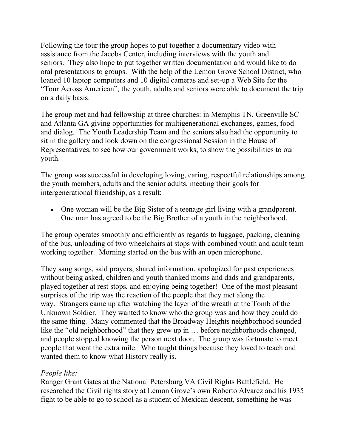Following the tour the group hopes to put together a documentary video with assistance from the Jacobs Center, including interviews with the youth and seniors. They also hope to put together written documentation and would like to do oral presentations to groups. With the help of the Lemon Grove School District, who loaned 10 laptop computers and 10 digital cameras and set-up a Web Site for the "Tour Across American", the youth, adults and seniors were able to document the trip on a daily basis.

The group met and had fellowship at three churches: in Memphis TN, Greenville SC and Atlanta GA giving opportunities for multigenerational exchanges, games, food and dialog. The Youth Leadership Team and the seniors also had the opportunity to sit in the gallery and look down on the congressional Session in the House of Representatives, to see how our government works, to show the possibilities to our youth.

The group was successful in developing loving, caring, respectful relationships among the youth members, adults and the senior adults, meeting their goals for intergenerational friendship, as a result:

• One woman will be the Big Sister of a teenage girl living with a grandparent. One man has agreed to be the Big Brother of a youth in the neighborhood.

The group operates smoothly and efficiently as regards to luggage, packing, cleaning of the bus, unloading of two wheelchairs at stops with combined youth and adult team working together. Morning started on the bus with an open microphone.

They sang songs, said prayers, shared information, apologized for past experiences without being asked, children and youth thanked moms and dads and grandparents, played together at rest stops, and enjoying being together! One of the most pleasant surprises of the trip was the reaction of the people that they met along the way. Strangers came up after watching the layer of the wreath at the Tomb of the Unknown Soldier. They wanted to know who the group was and how they could do the same thing. Many commented that the Broadway Heights neighborhood sounded like the "old neighborhood" that they grew up in ... before neighborhoods changed, and people stopped knowing the person next door. The group was fortunate to meet people that went the extra mile. Who taught things because they loved to teach and wanted them to know what History really is.

## *People like:*

Ranger Grant Gates at the National Petersburg VA Civil Rights Battlefield. He researched the Civil rights story at Lemon Grove's own Roberto Alvarez and his 1935 fight to be able to go to school as a student of Mexican descent, something he was